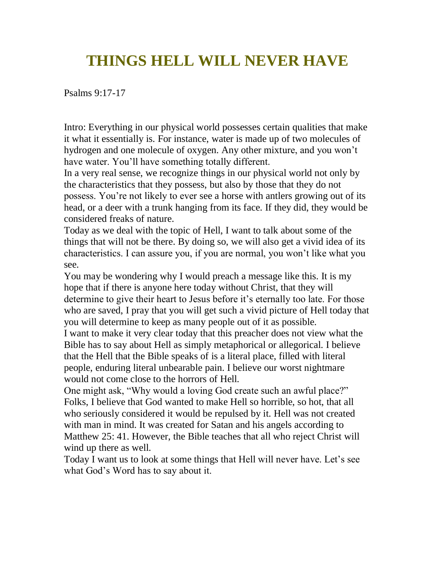# **THINGS HELL WILL NEVER HAVE**

Psalms 9:17-17

Intro: Everything in our physical world possesses certain qualities that make it what it essentially is. For instance, water is made up of two molecules of hydrogen and one molecule of oxygen. Any other mixture, and you won't have water. You'll have something totally different.

In a very real sense, we recognize things in our physical world not only by the characteristics that they possess, but also by those that they do not possess. You're not likely to ever see a horse with antlers growing out of its head, or a deer with a trunk hanging from its face. If they did, they would be considered freaks of nature.

Today as we deal with the topic of Hell, I want to talk about some of the things that will not be there. By doing so, we will also get a vivid idea of its characteristics. I can assure you, if you are normal, you won't like what you see.

You may be wondering why I would preach a message like this. It is my hope that if there is anyone here today without Christ, that they will determine to give their heart to Jesus before it's eternally too late. For those who are saved, I pray that you will get such a vivid picture of Hell today that you will determine to keep as many people out of it as possible.

I want to make it very clear today that this preacher does not view what the Bible has to say about Hell as simply metaphorical or allegorical. I believe that the Hell that the Bible speaks of is a literal place, filled with literal people, enduring literal unbearable pain. I believe our worst nightmare would not come close to the horrors of Hell.

One might ask, "Why would a loving God create such an awful place?" Folks, I believe that God wanted to make Hell so horrible, so hot, that all who seriously considered it would be repulsed by it. Hell was not created with man in mind. It was created for Satan and his angels according to Matthew 25: 41. However, the Bible teaches that all who reject Christ will wind up there as well.

Today I want us to look at some things that Hell will never have. Let's see what God's Word has to say about it.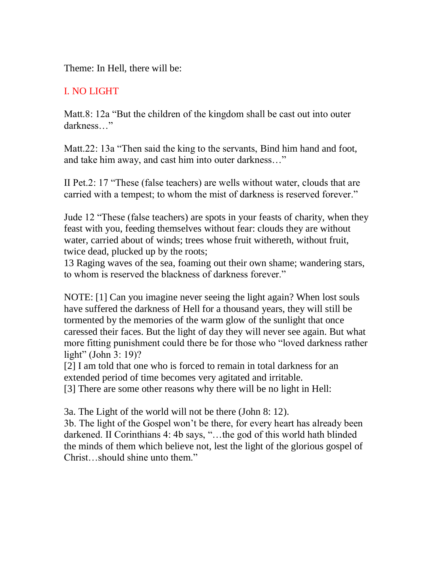Theme: In Hell, there will be:

## I. NO LIGHT

Matt.8: 12a "But the children of the kingdom shall be cast out into outer darkness…"

Matt.22: 13a "Then said the king to the servants, Bind him hand and foot, and take him away, and cast him into outer darkness…"

II Pet.2: 17 "These (false teachers) are wells without water, clouds that are carried with a tempest; to whom the mist of darkness is reserved forever."

Jude 12 "These (false teachers) are spots in your feasts of charity, when they feast with you, feeding themselves without fear: clouds they are without water, carried about of winds; trees whose fruit withereth, without fruit, twice dead, plucked up by the roots;

13 Raging waves of the sea, foaming out their own shame; wandering stars, to whom is reserved the blackness of darkness forever."

NOTE: [1] Can you imagine never seeing the light again? When lost souls have suffered the darkness of Hell for a thousand years, they will still be tormented by the memories of the warm glow of the sunlight that once caressed their faces. But the light of day they will never see again. But what more fitting punishment could there be for those who "loved darkness rather light" (John 3: 19)?

[2] I am told that one who is forced to remain in total darkness for an extended period of time becomes very agitated and irritable.

[3] There are some other reasons why there will be no light in Hell:

3a. The Light of the world will not be there (John 8: 12).

3b. The light of the Gospel won't be there, for every heart has already been darkened. II Corinthians 4: 4b says, "…the god of this world hath blinded the minds of them which believe not, lest the light of the glorious gospel of Christ…should shine unto them."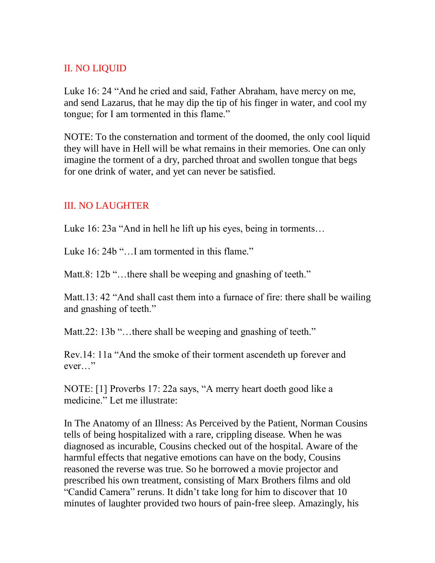#### II. NO LIQUID

Luke 16: 24 "And he cried and said, Father Abraham, have mercy on me, and send Lazarus, that he may dip the tip of his finger in water, and cool my tongue; for I am tormented in this flame."

NOTE: To the consternation and torment of the doomed, the only cool liquid they will have in Hell will be what remains in their memories. One can only imagine the torment of a dry, parched throat and swollen tongue that begs for one drink of water, and yet can never be satisfied.

#### III. NO LAUGHTER

Luke 16: 23a "And in hell he lift up his eyes, being in torments...

Luke 16: 24b "... I am tormented in this flame."

Matt.8: 12b "...there shall be weeping and gnashing of teeth."

Matt.13: 42 "And shall cast them into a furnace of fire: there shall be wailing and gnashing of teeth."

Matt. 22: 13b "... there shall be weeping and gnashing of teeth."

Rev.14: 11a "And the smoke of their torment ascendeth up forever and ever…"

NOTE: [1] Proverbs 17: 22a says, "A merry heart doeth good like a medicine." Let me illustrate:

In The Anatomy of an Illness: As Perceived by the Patient, Norman Cousins tells of being hospitalized with a rare, crippling disease. When he was diagnosed as incurable, Cousins checked out of the hospital. Aware of the harmful effects that negative emotions can have on the body, Cousins reasoned the reverse was true. So he borrowed a movie projector and prescribed his own treatment, consisting of Marx Brothers films and old "Candid Camera" reruns. It didn't take long for him to discover that 10 minutes of laughter provided two hours of pain-free sleep. Amazingly, his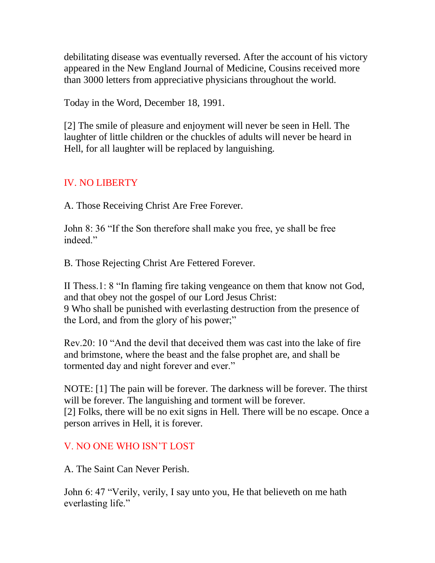debilitating disease was eventually reversed. After the account of his victory appeared in the New England Journal of Medicine, Cousins received more than 3000 letters from appreciative physicians throughout the world.

Today in the Word, December 18, 1991.

[2] The smile of pleasure and enjoyment will never be seen in Hell. The laughter of little children or the chuckles of adults will never be heard in Hell, for all laughter will be replaced by languishing.

## IV. NO LIBERTY

A. Those Receiving Christ Are Free Forever.

John 8: 36 "If the Son therefore shall make you free, ye shall be free indeed."

B. Those Rejecting Christ Are Fettered Forever.

II Thess.1: 8 "In flaming fire taking vengeance on them that know not God, and that obey not the gospel of our Lord Jesus Christ: 9 Who shall be punished with everlasting destruction from the presence of the Lord, and from the glory of his power;"

Rev.20: 10 "And the devil that deceived them was cast into the lake of fire and brimstone, where the beast and the false prophet are, and shall be tormented day and night forever and ever."

NOTE: [1] The pain will be forever. The darkness will be forever. The thirst will be forever. The languishing and torment will be forever. [2] Folks, there will be no exit signs in Hell. There will be no escape. Once a person arrives in Hell, it is forever.

### V. NO ONE WHO ISN'T LOST

A. The Saint Can Never Perish.

John 6: 47 "Verily, verily, I say unto you, He that believeth on me hath everlasting life."